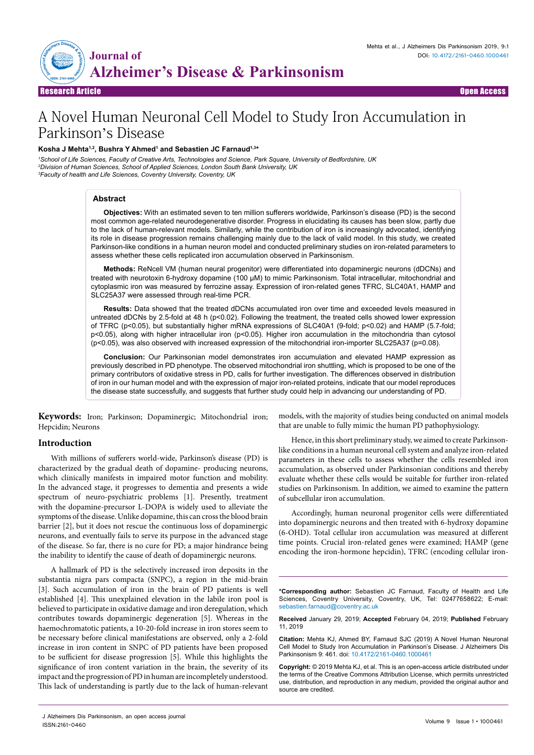

Research Article Open Access

# A Novel Human Neuronal Cell Model to Study Iron Accumulation in Parkinson's Disease

# **Kosha J Mehta1,2, Bushra Y Ahmed1 and Sebastien JC Farnaud1,3\***

*1 School of Life Sciences, Faculty of Creative Arts, Technologies and Science, Park Square, University of Bedfordshire, UK 2 Division of Human Sciences, School of Applied Sciences, London South Bank University, UK 3 Faculty of health and Life Sciences, Coventry University, Coventry, UK*

### **Abstract**

**Objectives:** With an estimated seven to ten million sufferers worldwide, Parkinson's disease (PD) is the second most common age-related neurodegenerative disorder. Progress in elucidating its causes has been slow, partly due to the lack of human-relevant models. Similarly, while the contribution of iron is increasingly advocated, identifying its role in disease progression remains challenging mainly due to the lack of valid model. In this study, we created Parkinson-like conditions in a human neuron model and conducted preliminary studies on iron-related parameters to assess whether these cells replicated iron accumulation observed in Parkinsonism.

**Methods:** ReNcell VM (human neural progenitor) were differentiated into dopaminergic neurons (dDCNs) and treated with neurotoxin 6-hydroxy dopamine (100 µM) to mimic Parkinsonism. Total intracellular, mitochondrial and cytoplasmic iron was measured by ferrozine assay. Expression of iron-related genes TFRC, SLC40A1, HAMP and SLC25A37 were assessed through real-time PCR.

**Results:** Data showed that the treated dDCNs accumulated iron over time and exceeded levels measured in untreated dDCNs by 2.5-fold at 48 h (p<0.02). Following the treatment, the treated cells showed lower expression of TFRC (p<0.05), but substantially higher mRNA expressions of SLC40A1 (9-fold; p<0.02) and HAMP (5.7-fold; p<0.05), along with higher intracellular iron (p<0.05). Higher iron accumulation in the mitochondria than cytosol (p<0.05), was also observed with increased expression of the mitochondrial iron-importer SLC25A37 (p=0.08).

**Conclusion:** Our Parkinsonian model demonstrates iron accumulation and elevated HAMP expression as previously described in PD phenotype. The observed mitochondrial iron shuttling, which is proposed to be one of the primary contributors of oxidative stress in PD, calls for further investigation. The differences observed in distribution of iron in our human model and with the expression of major iron-related proteins, indicate that our model reproduces the disease state successfully, and suggests that further study could help in advancing our understanding of PD.

**Keywords:** Iron; Parkinson; Dopaminergic; Mitochondrial iron; Hepcidin; Neurons

# **Introduction**

With millions of sufferers world-wide, Parkinson's disease (PD) is characterized by the gradual death of dopamine- producing neurons, which clinically manifests in impaired motor function and mobility. In the advanced stage, it progresses to dementia and presents a wide spectrum of neuro-psychiatric problems [1]. Presently, treatment with the dopamine-precursor L-DOPA is widely used to alleviate the symptoms of the disease. Unlike dopamine, this can cross the blood brain barrier [2], but it does not rescue the continuous loss of dopaminergic neurons, and eventually fails to serve its purpose in the advanced stage of the disease. So far, there is no cure for PD; a major hindrance being the inability to identify the cause of death of dopaminergic neurons.

A hallmark of PD is the selectively increased iron deposits in the substantia nigra pars compacta (SNPC), a region in the mid-brain [3]. Such accumulation of iron in the brain of PD patients is well established [4]. This unexplained elevation in the labile iron pool is believed to participate in oxidative damage and iron deregulation, which contributes towards dopaminergic degeneration [5]. Whereas in the haemochromatotic patients, a 10-20-fold increase in iron stores seem to be necessary before clinical manifestations are observed, only a 2-fold increase in iron content in SNPC of PD patients have been proposed to be sufficient for disease progression [5]. While this highlights the significance of iron content variation in the brain, the severity of its impact and the progression of PD in human are incompletely understood. This lack of understanding is partly due to the lack of human-relevant

that are unable to fully mimic the human PD pathophysiology. Hence, in this short preliminary study, we aimed to create Parkinson-

models, with the majority of studies being conducted on animal models

like conditions in a human neuronal cell system and analyze iron-related parameters in these cells to assess whether the cells resembled iron accumulation, as observed under Parkinsonian conditions and thereby evaluate whether these cells would be suitable for further iron-related studies on Parkinsonism. In addition, we aimed to examine the pattern of subcellular iron accumulation.

Accordingly, human neuronal progenitor cells were differentiated into dopaminergic neurons and then treated with 6-hydroxy dopamine (6-OHD). Total cellular iron accumulation was measured at different time points. Crucial iron-related genes were examined; HAMP (gene encoding the iron-hormone hepcidin), TFRC (encoding cellular iron-

**\*Corresponding author:** Sebastien JC Farnaud, Faculty of Health and Life Sciences, Coventry University, Coventry, UK, Tel: 02477658622; E-mail: sebastien.farnaud@coventry.ac.uk

**Received** January 29, 2019; **Accepted** February 04, 2019; **Published** February 11, 2019

**Citation:** Mehta KJ, Ahmed BY, Farnaud SJC (2019) A Novel Human Neuronal Cell Model to Study Iron Accumulation in Parkinson's Disease. J Alzheimers Dis Parkinsonism 9: 461. doi: 10.4172/2161-0460.1000461

**Copyright:** © 2019 Mehta KJ, et al. This is an open-access article distributed under the terms of the Creative Commons Attribution License, which permits unrestricted use, distribution, and reproduction in any medium, provided the original author and source are credited.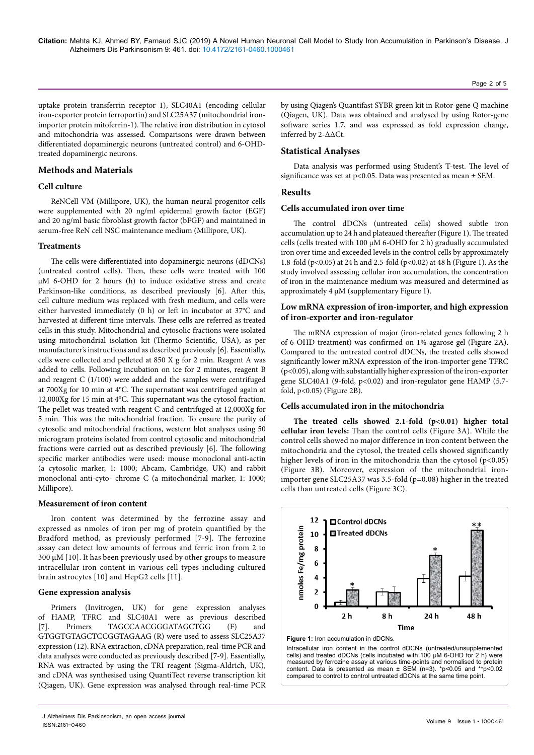uptake protein transferrin receptor 1), SLC40A1 (encoding cellular iron-exporter protein ferroportin) and SLC25A37 (mitochondrial ironimporter protein mitoferrin-1). The relative iron distribution in cytosol and mitochondria was assessed. Comparisons were drawn between differentiated dopaminergic neurons (untreated control) and 6-OHDtreated dopaminergic neurons.

# **Methods and Materials**

# **Cell culture**

ReNCell VM (Millipore, UK), the human neural progenitor cells were supplemented with 20 ng/ml epidermal growth factor (EGF) and 20 ng/ml basic fibroblast growth factor (bFGF) and maintained in serum-free ReN cell NSC maintenance medium (Millipore, UK).

#### **Treatments**

The cells were differentiated into dopaminergic neurons (dDCNs) (untreated control cells). Then, these cells were treated with 100 µM 6-OHD for 2 hours (h) to induce oxidative stress and create Parkinson-like conditions, as described previously [6]. After this, cell culture medium was replaced with fresh medium, and cells were either harvested immediately (0 h) or left in incubator at 37°C and harvested at different time intervals. These cells are referred as treated cells in this study. Mitochondrial and cytosolic fractions were isolated using mitochondrial isolation kit (Thermo Scientific, USA), as per manufacturer's instructions and as described previously [6]. Essentially, cells were collected and pelleted at 850 X g for 2 min. Reagent A was added to cells. Following incubation on ice for 2 minutes, reagent B and reagent C (1/100) were added and the samples were centrifuged at 700Xg for 10 min at 4°C. The supernatant was centrifuged again at 12,000Xg for 15 min at 4°C. This supernatant was the cytosol fraction. The pellet was treated with reagent C and centrifuged at 12,000Xg for 5 min. This was the mitochondrial fraction. To ensure the purity of cytosolic and mitochondrial fractions, western blot analyses using 50 microgram proteins isolated from control cytosolic and mitochondrial fractions were carried out as described previously [6]. The following specific marker antibodies were used: mouse monoclonal anti-actin (a cytosolic marker, 1: 1000; Abcam, Cambridge, UK) and rabbit monoclonal anti-cyto- chrome C (a mitochondrial marker, 1: 1000; Millipore).

## **Measurement of iron content**

Iron content was determined by the ferrozine assay and expressed as nmoles of iron per mg of protein quantified by the Bradford method, as previously performed [7-9]. The ferrozine assay can detect low amounts of ferrous and ferric iron from 2 to 300 µM [10]. It has been previously used by other groups to measure intracellular iron content in various cell types including cultured brain astrocytes [10] and HepG2 cells [11].

### **Gene expression analysis**

Primers (Invitrogen, UK) for gene expression analyses of HAMP, TFRC and SLC40A1 were as previous described [7]. Primers TAGCCAACGGGATAGCTGG (F) and GTGGTGTAGCTCCGGTAGAAG (R) were used to assess SLC25A37 expression (12). RNA extraction, cDNA preparation, real-time PCR and data analyses were conducted as previously described [7-9]. Essentially, RNA was extracted by using the TRI reagent (Sigma-Aldrich, UK), and cDNA was synthesised using QuantiTect reverse transcription kit (Qiagen, UK). Gene expression was analysed through real-time PCR by using Qiagen's Quantifast SYBR green kit in Rotor-gene Q machine (Qiagen, UK). Data was obtained and analysed by using Rotor-gene software series 1.7, and was expressed as fold expression change, inferred by 2-∆∆Ct.

# **Statistical Analyses**

Data analysis was performed using Student's T-test. The level of significance was set at p<0.05. Data was presented as mean  $\pm$  SEM.

# **Results**

# **Cells accumulated iron over time**

The control dDCNs (untreated cells) showed subtle iron accumulation up to 24 h and plateaued thereafter (Figure 1). The treated cells (cells treated with 100 µM 6-OHD for 2 h) gradually accumulated iron over time and exceeded levels in the control cells by approximately 1.8-fold (p<0.05) at 24 h and 2.5-fold (p<0.02) at 48 h (Figure 1). As the study involved assessing cellular iron accumulation, the concentration of iron in the maintenance medium was measured and determined as approximately 4 µM (supplementary Figure 1).

# **Low mRNA expression of iron-importer, and high expression of iron-exporter and iron-regulator**

The mRNA expression of major (iron-related genes following 2 h of 6-OHD treatment) was confirmed on 1% agarose gel (Figure 2A). Compared to the untreated control dDCNs, the treated cells showed significantly lower mRNA expression of the iron-importer gene TFRC (p<0.05), along with substantially higher expression of the iron-exporter gene SLC40A1 (9-fold, p<0.02) and iron-regulator gene HAMP (5.7fold, p<0.05) (Figure 2B).

#### **Cells accumulated iron in the mitochondria**

**The treated cells showed 2.1-fold (p<0.01) higher total cellular iron levels:** Than the control cells (Figure 3A). While the control cells showed no major difference in iron content between the mitochondria and the cytosol, the treated cells showed significantly higher levels of iron in the mitochondria than the cytosol  $(p<0.05)$ (Figure 3B). Moreover, expression of the mitochondrial ironimporter gene SLC25A37 was 3.5-fold (p=0.08) higher in the treated cells than untreated cells (Figure 3C).





Page 2 of 5

J Alzheimers Dis Parkinsonism, an open access journal ISSN:2161-0460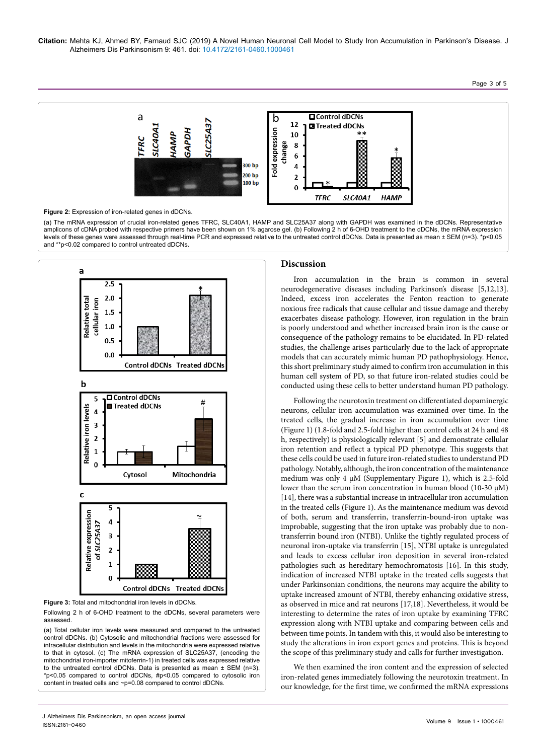**Citation:** Mehta KJ, Ahmed BY, Farnaud SJC (2019) A Novel Human Neuronal Cell Model to Study Iron Accumulation in Parkinson's Disease. J Alzheimers Dis Parkinsonism 9: 461. doi: 10.4172/2161-0460.1000461



(a) The mRNA expression of crucial iron-related genes TFRC, SLC40A1, HAMP and SLC25A37 along with GAPDH was examined in the dDCNs. Representative amplicons of cDNA probed with respective primers have been shown on 1% agarose gel. (b) Following 2 h of 6-OHD treatment to the dDCNs, the mRNA expression levels of these genes were assessed through real-time PCR and expressed relative to the untreated control dDCNs. Data is presented as mean ± SEM (n=3). \*p<0.05 and \*\*p<0.02 compared to control untreated dDCNs.



**Figure 3:** Total and mitochondrial iron levels in dDCNs.

Following 2 h of 6-OHD treatment to the dDCNs, several parameters were assessed.

(a) Total cellular iron levels were measured and compared to the untreated control dDCNs. (b) Cytosolic and mitochondrial fractions were assessed for intracellular distribution and levels in the mitochondria were expressed relative to that in cytosol. (c) The mRNA expression of SLC25A37, (encoding the mitochondrial iron-importer mitoferrin-1) in treated cells was expressed relative to the untreated control dDCNs. Data is presented as mean ± SEM (n=3). \*p<0.05 compared to control dDCNs, #p<0.05 compared to cytosolic iron content in treated cells and ~p=0.08 compared to control dDCNs.

# **Discussion**

Iron accumulation in the brain is common in several neurodegenerative diseases including Parkinson's disease [5,12,13]. Indeed, excess iron accelerates the Fenton reaction to generate noxious free radicals that cause cellular and tissue damage and thereby exacerbates disease pathology. However, iron regulation in the brain is poorly understood and whether increased brain iron is the cause or consequence of the pathology remains to be elucidated. In PD-related studies, the challenge arises particularly due to the lack of appropriate models that can accurately mimic human PD pathophysiology. Hence, this short preliminary study aimed to confirm iron accumulation in this human cell system of PD, so that future iron-related studies could be conducted using these cells to better understand human PD pathology.

Following the neurotoxin treatment on differentiated dopaminergic neurons, cellular iron accumulation was examined over time. In the treated cells, the gradual increase in iron accumulation over time (Figure 1) (1.8-fold and 2.5-fold higher than control cells at 24 h and 48 h, respectively) is physiologically relevant [5] and demonstrate cellular iron retention and reflect a typical PD phenotype. This suggests that these cells could be used in future iron-related studies to understand PD pathology. Notably, although, the iron concentration of the maintenance medium was only 4  $\mu$ M (Supplementary Figure 1), which is 2.5-fold lower than the serum iron concentration in human blood (10-30  $\mu$ M) [14], there was a substantial increase in intracellular iron accumulation in the treated cells (Figure 1). As the maintenance medium was devoid of both, serum and transferrin, transferrin-bound-iron uptake was improbable, suggesting that the iron uptake was probably due to nontransferrin bound iron (NTBI). Unlike the tightly regulated process of neuronal iron-uptake via transferrin [15], NTBI uptake is unregulated and leads to excess cellular iron deposition in several iron-related pathologies such as hereditary hemochromatosis [16]. In this study, indication of increased NTBI uptake in the treated cells suggests that under Parkinsonian conditions, the neurons may acquire the ability to uptake increased amount of NTBI, thereby enhancing oxidative stress, as observed in mice and rat neurons [17,18]. Nevertheless, it would be interesting to determine the rates of iron uptake by examining TFRC expression along with NTBI uptake and comparing between cells and between time points. In tandem with this, it would also be interesting to study the alterations in iron export genes and proteins. This is beyond the scope of this preliminary study and calls for further investigation.

We then examined the iron content and the expression of selected iron-related genes immediately following the neurotoxin treatment. In our knowledge, for the first time, we confirmed the mRNA expressions

J Alzheimers Dis Parkinsonism, an open access journal ISSN:2161-0460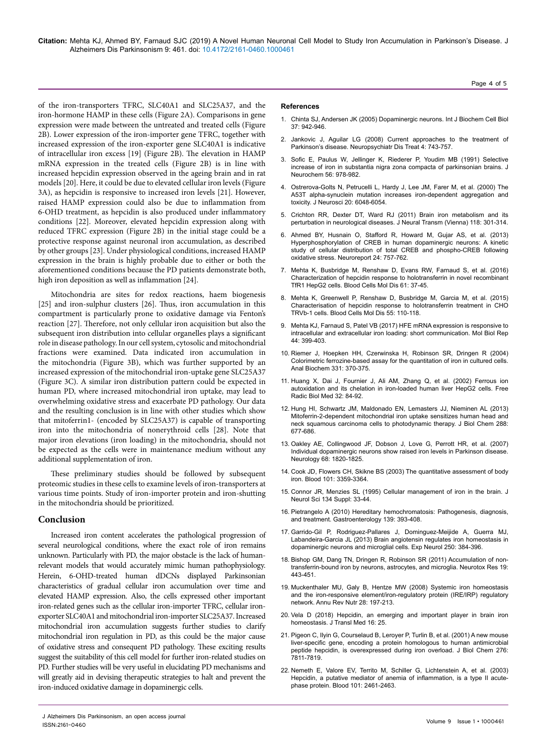of the iron-transporters TFRC, SLC40A1 and SLC25A37, and the iron-hormone HAMP in these cells (Figure 2A). Comparisons in gene expression were made between the untreated and treated cells (Figure 2B). Lower expression of the iron-importer gene TFRC, together with increased expression of the iron-exporter gene SLC40A1 is indicative of intracellular iron excess [19] (Figure 2B). The elevation in HAMP mRNA expression in the treated cells (Figure 2B) is in line with increased hepcidin expression observed in the ageing brain and in rat models [20]. Here, it could be due to elevated cellular iron levels (Figure 3A), as hepcidin is responsive to increased iron levels [21]. However, raised HAMP expression could also be due to inflammation from 6-OHD treatment, as hepcidin is also produced under inflammatory conditions [22]. Moreover, elevated hepcidin expression along with reduced TFRC expression (Figure 2B) in the initial stage could be a protective response against neuronal iron accumulation, as described by other groups [23]. Under physiological conditions, increased HAMP expression in the brain is highly probable due to either or both the aforementioned conditions because the PD patients demonstrate both, high iron deposition as well as inflammation [24].

Mitochondria are sites for redox reactions, haem biogenesis [25] and iron-sulphur clusters [26]. Thus, iron accumulation in this compartment is particularly prone to oxidative damage via Fenton's reaction [27]. Therefore, not only cellular iron acquisition but also the subsequent iron distribution into cellular organelles plays a significant role in disease pathology. In our cell system, cytosolic and mitochondrial fractions were examined. Data indicated iron accumulation in the mitochondria (Figure 3B), which was further supported by an increased expression of the mitochondrial iron-uptake gene SLC25A37 (Figure 3C). A similar iron distribution pattern could be expected in human PD, where increased mitochondrial iron uptake, may lead to overwhelming oxidative stress and exacerbate PD pathology. Our data and the resulting conclusion is in line with other studies which show that mitoferrin1- (encoded by SLC25A37) is capable of transporting iron into the mitochondria of nonerythroid cells [28]. Note that major iron elevations (iron loading) in the mitochondria, should not be expected as the cells were in maintenance medium without any additional supplementation of iron.

These preliminary studies should be followed by subsequent proteomic studies in these cells to examine levels of iron-transporters at various time points. Study of iron-importer protein and iron-shutting in the mitochondria should be prioritized.

# **Conclusion**

Increased iron content accelerates the pathological progression of several neurological conditions, where the exact role of iron remains unknown. Particularly with PD, the major obstacle is the lack of humanrelevant models that would accurately mimic human pathophysiology. Herein, 6-OHD-treated human dDCNs displayed Parkinsonian characteristics of gradual cellular iron accumulation over time and elevated HAMP expression. Also, the cells expressed other important iron-related genes such as the cellular iron-importer TFRC, cellular ironexporter SLC40A1 and mitochondrial iron-importer SLC25A37. Increased mitochondrial iron accumulation suggests further studies to clarify mitochondrial iron regulation in PD, as this could be the major cause of oxidative stress and consequent PD pathology. These exciting results suggest the suitability of this cell model for further iron-related studies on PD. Further studies will be very useful in elucidating PD mechanisms and will greatly aid in devising therapeutic strategies to halt and prevent the iron-induced oxidative damage in dopaminergic cells.

- 1. [Chinta SJ, Andersen JK \(2005\) Dopaminergic neurons. Int J Biochem Cell Biol](http://dx.doi.org/10.1016/j.biocel.2004.09.009)  [37: 942-946.](http://dx.doi.org/10.1016/j.biocel.2004.09.009)
- 2. [Jankovic J, Aguilar LG \(2008\) Current approaches to the treatment of](https://doi.org/10.2147/NDT.S2006)  [Parkinson's disease. Neuropsychiatr Dis Treat 4: 743-757.](https://doi.org/10.2147/NDT.S2006)
- 3. [Sofic E, Paulus W, Jellinger K, Riederer P, Youdim MB \(1991\) Selective](https://doi.org/10.1111/j.1471-4159.1991.tb02017.x)  [increase of iron in substantia nigra zona compacta of parkinsonian brains. J](https://doi.org/10.1111/j.1471-4159.1991.tb02017.x)  [Neurochem 56: 978-982.](https://doi.org/10.1111/j.1471-4159.1991.tb02017.x)
- 4. [Ostrerova-Golts N, Petrucelli L, Hardy J, Lee JM, Farer M, et al. \(2000\) The](http://www.jneurosci.org/content/20/16/6048.long)  [A53T alpha-synuclein mutation increases iron-dependent aggregation and](http://www.jneurosci.org/content/20/16/6048.long)  [toxicity. J Neurosci 20: 6048-6054.](http://www.jneurosci.org/content/20/16/6048.long)
- 5. [Crichton RR, Dexter DT, Ward RJ \(2011\) Brain iron metabolism and its](http://dx.doi.org/10.1007/s00702-010-0470-z)  [perturbation in neurological diseases. J Neural Transm \(Vienna\) 118: 301-314.](http://dx.doi.org/10.1007/s00702-010-0470-z)
- 6. [Ahmed BY, Husnain O, Stafford R, Howard M, Gujar AS, et al. \(2013\)](https://insights.ovid.com/pubmed?pmid=23921595)  [Hyperphosphorylation of CREB in human dopaminergic neurons: A kinetic](https://insights.ovid.com/pubmed?pmid=23921595)  [study of cellular distribution of total CREB and phospho-CREB following](https://insights.ovid.com/pubmed?pmid=23921595)  [oxidative stress. Neuroreport 24: 757-762.](https://insights.ovid.com/pubmed?pmid=23921595)
- 7. [Mehta K, Busbridge M, Renshaw D, Evans RW, Farnaud S, et al. \(2016\)](http://dx.doi.org/10.1016/j.bcmd.2016.06.008)  [Characterization of hepcidin response to holotransferrin in novel recombinant](http://dx.doi.org/10.1016/j.bcmd.2016.06.008)  [TfR1 HepG2 cells. Blood Cells Mol Dis 61: 37-45.](http://dx.doi.org/10.1016/j.bcmd.2016.06.008)
- 8. [Mehta K, Greenwell P, Renshaw D, Busbridge M, Garcia M, et al. \(2015\)](http://dx.doi.org/10.1016/j.bcmd.2015.05.002)  [Characterisation of hepcidin response to holotransferrin treatment in CHO](http://dx.doi.org/10.1016/j.bcmd.2015.05.002)  [TRVb-1 cells. Blood Cells Mol Dis 55: 110-118.](http://dx.doi.org/10.1016/j.bcmd.2015.05.002)
- 9. [Mehta KJ, Farnaud S, Patel VB \(2017\) HFE mRNA expression is responsive to](https://link.springer.com/article/10.1007%2Fs11033-017-4123-2)  [intracellular and extracellular iron loading: short communication. Mol Biol Rep](https://link.springer.com/article/10.1007%2Fs11033-017-4123-2)  [44: 399-403.](https://link.springer.com/article/10.1007%2Fs11033-017-4123-2)
- 10. [Riemer J, Hoepken HH, Czerwinska H, Robinson SR, Dringen R \(2004\)](http://dx.doi.org/10.1016/j.ab.2004.03.049)  [Colorimetric ferrozine-based assay for the quantitation of iron in cultured cells.](http://dx.doi.org/10.1016/j.ab.2004.03.049)  [Anal Biochem 331: 370-375.](http://dx.doi.org/10.1016/j.ab.2004.03.049)
- 11. [Huang X, Dai J, Fournier J, Ali AM, Zhang Q, et al. \(2002\) Ferrous ion](https://www.sciencedirect.com/science/article/pii/S0891584901007705?via%3Dihub)  [autoxidation and its chelation in iron-loaded human liver HepG2 cells. Free](https://www.sciencedirect.com/science/article/pii/S0891584901007705?via%3Dihub)  [Radic Biol Med 32: 84-92.](https://www.sciencedirect.com/science/article/pii/S0891584901007705?via%3Dihub)
- 12. [Hung HI, Schwartz JM, Maldonado EN, Lemasters JJ, Nieminen AL \(2013\)](https://doi.org/10.1074/jbc.M112.422667)  [Mitoferrin-2-dependent mitochondrial iron uptake sensitizes human head and](https://doi.org/10.1074/jbc.M112.422667)  [neck squamous carcinoma cells to photodynamic therapy. J Biol Chem 288:](https://doi.org/10.1074/jbc.M112.422667)  [677-686.](https://doi.org/10.1074/jbc.M112.422667)
- 13. [Oakley AE, Collingwood JF, Dobson J, Love G, Perrott HR, et al. \(2007\)](https://doi.org/10.1212/01.wnl.0000262033.01945.9a)  [Individual dopaminergic neurons show raised iron levels in Parkinson disease.](https://doi.org/10.1212/01.wnl.0000262033.01945.9a)  [Neurology 68: 1820-1825.](https://doi.org/10.1212/01.wnl.0000262033.01945.9a)
- 14. [Cook JD, Flowers CH, Skikne BS \(2003\) The quantitative assessment of body](http://dx.doi.org/10.1182/blood-2002-10-3071)  [iron. Blood 101: 3359-3364.](http://dx.doi.org/10.1182/blood-2002-10-3071)
- 15. [Connor JR, Menzies SL \(1995\) Cellular management of iron in the brain. J](https://linkinghub.elsevier.com/retrieve/pii/0022510X9500206H)  [Neurol Sci 134 Suppl: 33-44.](https://linkinghub.elsevier.com/retrieve/pii/0022510X9500206H)
- 16. [Pietrangelo A \(2010\) Hereditary hemochromatosis: Pathogenesis, diagnosis,](https://doi.org/10.1053/j.gastro.2010.06.013)  [and treatment. Gastroenterology 139: 393-408.](https://doi.org/10.1053/j.gastro.2010.06.013)
- 17. [Garrido-Gil P, Rodriguez-Pallares J, Dominguez-Meijide A, Guerra MJ,](http://dx.doi.org/10.1016/j.expneurol.2013.10.013)  [Labandeira-Garcia JL \(2013\) Brain angiotensin regulates iron homeostasis in](http://dx.doi.org/10.1016/j.expneurol.2013.10.013)  [dopaminergic neurons and microglial cells. Exp Neurol 250: 384-396.](http://dx.doi.org/10.1016/j.expneurol.2013.10.013)
- 18. [Bishop GM, Dang TN, Dringen R, Robinson SR \(2011\) Accumulation of non](http://dx.doi.org/10.1007/s12640-010-9195-x)[transferrin-bound iron by neurons, astrocytes, and microglia. Neurotox Res 19:](http://dx.doi.org/10.1007/s12640-010-9195-x)  [443-451.](http://dx.doi.org/10.1007/s12640-010-9195-x)
- 19. [Muckenthaler MU, Galy B, Hentze MW \(2008\) Systemic iron homeostasis](http://dx.doi.org/10.1146/annurev.nutr.28.061807.155521)  [and the iron-responsive element/iron-regulatory protein \(IRE/IRP\) regulatory](http://dx.doi.org/10.1146/annurev.nutr.28.061807.155521)  [network. Annu Rev Nutr 28: 197-213.](http://dx.doi.org/10.1146/annurev.nutr.28.061807.155521)
- 20. [Vela D \(2018\) Hepcidin, an emerging and important player in brain iron](https://doi.org/10.1186/s12967-018-1399-5)  [homeostasis. J Transl Med 16: 25.](https://doi.org/10.1186/s12967-018-1399-5)
- 21. [Pigeon C, Ilyin G, Courselaud B, Leroyer P, Turlin B, et al. \(2001\) A new mouse](https://doi.org/10.1074/jbc.M008923200)  [liver-specific gene, encoding a protein homologous to human antimicrobial](https://doi.org/10.1074/jbc.M008923200)  [peptide hepcidin, is overexpressed during iron overload. J Biol Chem 276:](https://doi.org/10.1074/jbc.M008923200)  [7811-7819.](https://doi.org/10.1074/jbc.M008923200)
- 22. [Nemeth E, Valore EV, Territo M, Schiller G, Lichtenstein A, et al. \(2003\)](http://dx.doi.org/10.1182/blood-2002-10-3235)  [Hepcidin, a putative mediator of anemia of inflammation, is a type II acute](http://dx.doi.org/10.1182/blood-2002-10-3235)[phase protein. Blood 101: 2461-2463.](http://dx.doi.org/10.1182/blood-2002-10-3235)

J Alzheimers Dis Parkinsonism, an open access journal ISSN:2161-0460

**References**